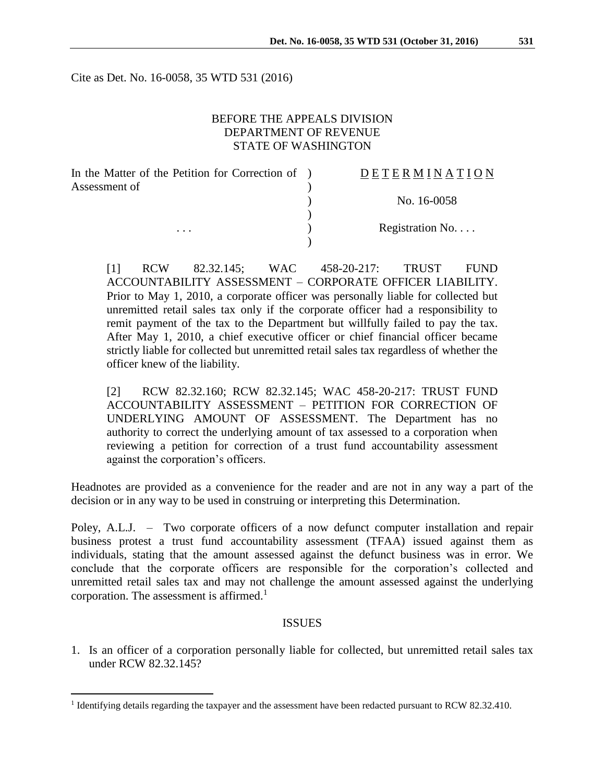Cite as Det. No. 16-0058, 35 WTD 531 (2016)

### BEFORE THE APPEALS DIVISION DEPARTMENT OF REVENUE STATE OF WASHINGTON

| In the Matter of the Petition for Correction of ) | DETERMINATION   |
|---------------------------------------------------|-----------------|
| Assessment of                                     |                 |
|                                                   | No. 16-0058     |
|                                                   |                 |
| $\cdots$                                          | Registration No |
|                                                   |                 |

[1] RCW 82.32.145; WAC 458-20-217: TRUST FUND ACCOUNTABILITY ASSESSMENT – CORPORATE OFFICER LIABILITY. Prior to May 1, 2010, a corporate officer was personally liable for collected but unremitted retail sales tax only if the corporate officer had a responsibility to remit payment of the tax to the Department but willfully failed to pay the tax. After May 1, 2010, a chief executive officer or chief financial officer became strictly liable for collected but unremitted retail sales tax regardless of whether the officer knew of the liability.

[2] RCW 82.32.160; RCW 82.32.145; WAC 458-20-217: TRUST FUND ACCOUNTABILITY ASSESSMENT – PETITION FOR CORRECTION OF UNDERLYING AMOUNT OF ASSESSMENT. The Department has no authority to correct the underlying amount of tax assessed to a corporation when reviewing a petition for correction of a trust fund accountability assessment against the corporation's officers.

Headnotes are provided as a convenience for the reader and are not in any way a part of the decision or in any way to be used in construing or interpreting this Determination.

Poley, A.L.J. – Two corporate officers of a now defunct computer installation and repair business protest a trust fund accountability assessment (TFAA) issued against them as individuals, stating that the amount assessed against the defunct business was in error. We conclude that the corporate officers are responsible for the corporation's collected and unremitted retail sales tax and may not challenge the amount assessed against the underlying corporation. The assessment is affirmed.<sup>1</sup>

#### ISSUES

1. Is an officer of a corporation personally liable for collected, but unremitted retail sales tax under RCW 82.32.145?

 $\overline{a}$ 

<sup>&</sup>lt;sup>1</sup> Identifying details regarding the taxpayer and the assessment have been redacted pursuant to RCW 82.32.410.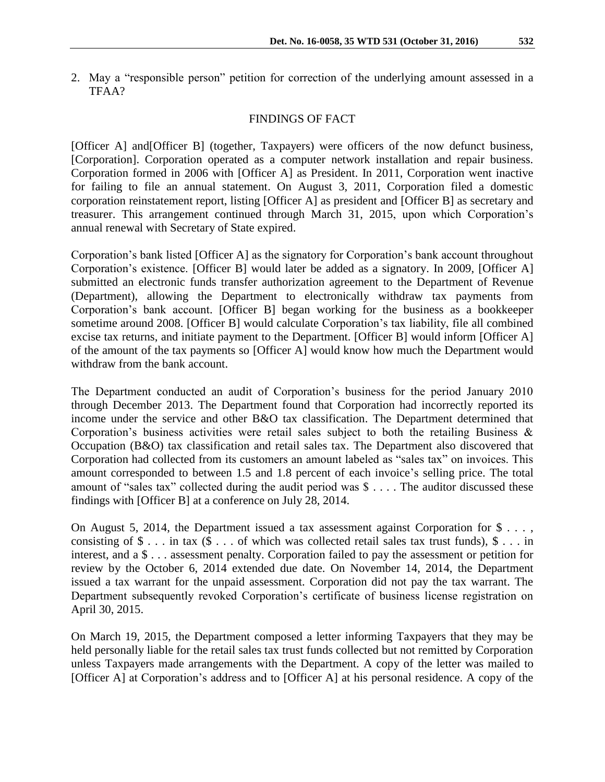2. May a "responsible person" petition for correction of the underlying amount assessed in a TFAA?

### FINDINGS OF FACT

[Officer A] and[Officer B] (together, Taxpayers) were officers of the now defunct business, [Corporation]. Corporation operated as a computer network installation and repair business. Corporation formed in 2006 with [Officer A] as President. In 2011, Corporation went inactive for failing to file an annual statement. On August 3, 2011, Corporation filed a domestic corporation reinstatement report, listing [Officer A] as president and [Officer B] as secretary and treasurer. This arrangement continued through March 31, 2015, upon which Corporation's annual renewal with Secretary of State expired.

Corporation's bank listed [Officer A] as the signatory for Corporation's bank account throughout Corporation's existence. [Officer B] would later be added as a signatory. In 2009, [Officer A] submitted an electronic funds transfer authorization agreement to the Department of Revenue (Department), allowing the Department to electronically withdraw tax payments from Corporation's bank account. [Officer B] began working for the business as a bookkeeper sometime around 2008. [Officer B] would calculate Corporation's tax liability, file all combined excise tax returns, and initiate payment to the Department. [Officer B] would inform [Officer A] of the amount of the tax payments so [Officer A] would know how much the Department would withdraw from the bank account.

The Department conducted an audit of Corporation's business for the period January 2010 through December 2013. The Department found that Corporation had incorrectly reported its income under the service and other B&O tax classification. The Department determined that Corporation's business activities were retail sales subject to both the retailing Business  $\&$ Occupation (B&O) tax classification and retail sales tax. The Department also discovered that Corporation had collected from its customers an amount labeled as "sales tax" on invoices. This amount corresponded to between 1.5 and 1.8 percent of each invoice's selling price. The total amount of "sales tax" collected during the audit period was \$ . . . . The auditor discussed these findings with [Officer B] at a conference on July 28, 2014.

On August 5, 2014, the Department issued a tax assessment against Corporation for \$ . . . , consisting of  $\$ \dots$  in tax  $(\$ \dots$  of which was collected retail sales tax trust funds),  $\$ \dots$  in interest, and a \$ . . . assessment penalty. Corporation failed to pay the assessment or petition for review by the October 6, 2014 extended due date. On November 14, 2014, the Department issued a tax warrant for the unpaid assessment. Corporation did not pay the tax warrant. The Department subsequently revoked Corporation's certificate of business license registration on April 30, 2015.

On March 19, 2015, the Department composed a letter informing Taxpayers that they may be held personally liable for the retail sales tax trust funds collected but not remitted by Corporation unless Taxpayers made arrangements with the Department. A copy of the letter was mailed to [Officer A] at Corporation's address and to [Officer A] at his personal residence. A copy of the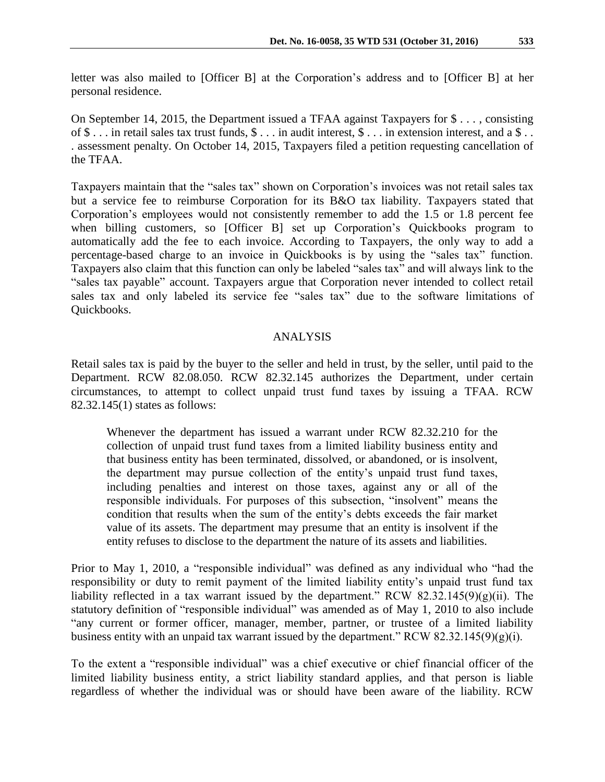letter was also mailed to [Officer B] at the Corporation's address and to [Officer B] at her personal residence.

On September 14, 2015, the Department issued a TFAA against Taxpayers for \$ . . . , consisting of \$ . . . in retail sales tax trust funds, \$ . . . in audit interest, \$ . . . in extension interest, and a \$ . . . assessment penalty. On October 14, 2015, Taxpayers filed a petition requesting cancellation of the TFAA.

Taxpayers maintain that the "sales tax" shown on Corporation's invoices was not retail sales tax but a service fee to reimburse Corporation for its B&O tax liability. Taxpayers stated that Corporation's employees would not consistently remember to add the 1.5 or 1.8 percent fee when billing customers, so [Officer B] set up Corporation's Quickbooks program to automatically add the fee to each invoice. According to Taxpayers, the only way to add a percentage-based charge to an invoice in Quickbooks is by using the "sales tax" function. Taxpayers also claim that this function can only be labeled "sales tax" and will always link to the "sales tax payable" account. Taxpayers argue that Corporation never intended to collect retail sales tax and only labeled its service fee "sales tax" due to the software limitations of Quickbooks.

# ANALYSIS

Retail sales tax is paid by the buyer to the seller and held in trust, by the seller, until paid to the Department. RCW 82.08.050. RCW 82.32.145 authorizes the Department, under certain circumstances, to attempt to collect unpaid trust fund taxes by issuing a TFAA. RCW 82.32.145(1) states as follows:

Whenever the department has issued a warrant under RCW 82.32.210 for the collection of unpaid trust fund taxes from a limited liability business entity and that business entity has been terminated, dissolved, or abandoned, or is insolvent, the department may pursue collection of the entity's unpaid trust fund taxes, including penalties and interest on those taxes, against any or all of the responsible individuals. For purposes of this subsection, "insolvent" means the condition that results when the sum of the entity's debts exceeds the fair market value of its assets. The department may presume that an entity is insolvent if the entity refuses to disclose to the department the nature of its assets and liabilities.

Prior to May 1, 2010, a "responsible individual" was defined as any individual who "had the responsibility or duty to remit payment of the limited liability entity's unpaid trust fund tax liability reflected in a tax warrant issued by the department." RCW 82.32.145(9)(g)(ii). The statutory definition of "responsible individual" was amended as of May 1, 2010 to also include "any current or former officer, manager, member, partner, or trustee of a limited liability business entity with an unpaid tax warrant issued by the department." RCW 82.32.145(9)(g)(i).

To the extent a "responsible individual" was a chief executive or chief financial officer of the limited liability business entity, a strict liability standard applies, and that person is liable regardless of whether the individual was or should have been aware of the liability. RCW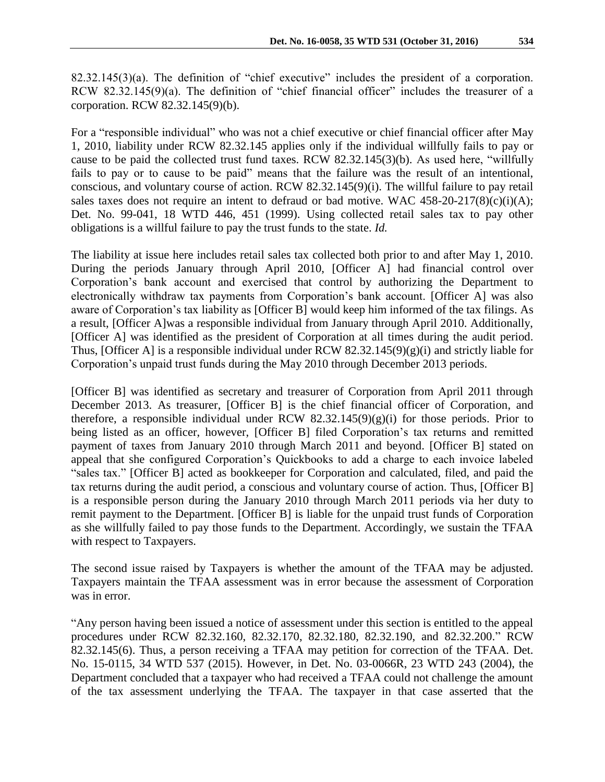82.32.145(3)(a). The definition of "chief executive" includes the president of a corporation. RCW 82.32.145(9)(a). The definition of "chief financial officer" includes the treasurer of a corporation. RCW 82.32.145(9)(b).

For a "responsible individual" who was not a chief executive or chief financial officer after May 1, 2010, liability under RCW 82.32.145 applies only if the individual willfully fails to pay or cause to be paid the collected trust fund taxes. RCW 82.32.145(3)(b). As used here, "willfully fails to pay or to cause to be paid" means that the failure was the result of an intentional, conscious, and voluntary course of action. RCW 82.32.145(9)(i). The willful failure to pay retail sales taxes does not require an intent to defraud or bad motive. WAC  $458-20-217(8)(c)(i)(A);$ Det. No. 99-041, 18 WTD 446, 451 (1999). Using collected retail sales tax to pay other obligations is a willful failure to pay the trust funds to the state. *Id.*

The liability at issue here includes retail sales tax collected both prior to and after May 1, 2010. During the periods January through April 2010, [Officer A] had financial control over Corporation's bank account and exercised that control by authorizing the Department to electronically withdraw tax payments from Corporation's bank account. [Officer A] was also aware of Corporation's tax liability as [Officer B] would keep him informed of the tax filings. As a result, [Officer A]was a responsible individual from January through April 2010. Additionally, [Officer A] was identified as the president of Corporation at all times during the audit period. Thus, [Officer A] is a responsible individual under RCW  $82.32.145(9)(g)(i)$  and strictly liable for Corporation's unpaid trust funds during the May 2010 through December 2013 periods.

[Officer B] was identified as secretary and treasurer of Corporation from April 2011 through December 2013. As treasurer, [Officer B] is the chief financial officer of Corporation, and therefore, a responsible individual under RCW  $82.32.145(9)(g)(i)$  for those periods. Prior to being listed as an officer, however, [Officer B] filed Corporation's tax returns and remitted payment of taxes from January 2010 through March 2011 and beyond. [Officer B] stated on appeal that she configured Corporation's Quickbooks to add a charge to each invoice labeled "sales tax." [Officer B] acted as bookkeeper for Corporation and calculated, filed, and paid the tax returns during the audit period, a conscious and voluntary course of action. Thus, [Officer B] is a responsible person during the January 2010 through March 2011 periods via her duty to remit payment to the Department. [Officer B] is liable for the unpaid trust funds of Corporation as she willfully failed to pay those funds to the Department. Accordingly, we sustain the TFAA with respect to Taxpayers.

The second issue raised by Taxpayers is whether the amount of the TFAA may be adjusted. Taxpayers maintain the TFAA assessment was in error because the assessment of Corporation was in error.

"Any person having been issued a notice of assessment under this section is entitled to the appeal procedures under RCW 82.32.160, 82.32.170, 82.32.180, 82.32.190, and 82.32.200." RCW 82.32.145(6). Thus, a person receiving a TFAA may petition for correction of the TFAA. Det. No. 15-0115, 34 WTD 537 (2015). However, in Det. No. 03-0066R, 23 WTD 243 (2004), the Department concluded that a taxpayer who had received a TFAA could not challenge the amount of the tax assessment underlying the TFAA. The taxpayer in that case asserted that the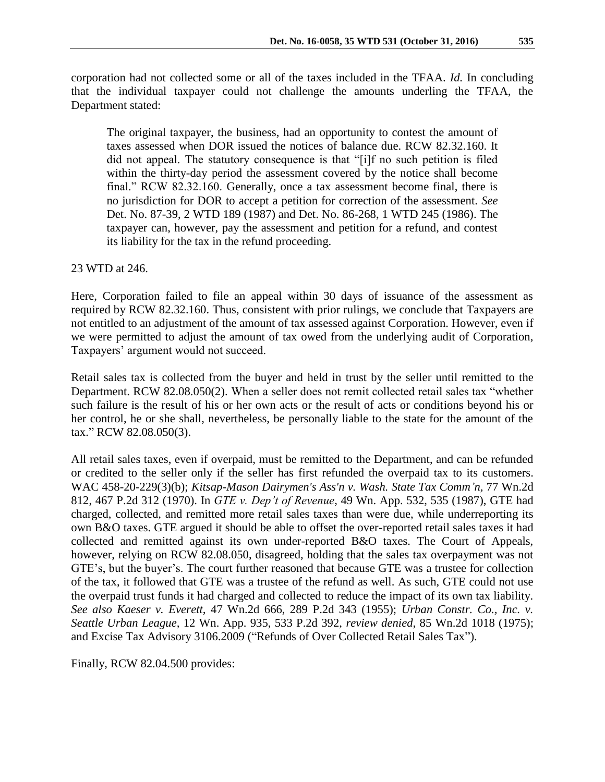corporation had not collected some or all of the taxes included in the TFAA. *Id.* In concluding that the individual taxpayer could not challenge the amounts underling the TFAA, the Department stated:

The original taxpayer, the business, had an opportunity to contest the amount of taxes assessed when DOR issued the notices of balance due. RCW 82.32.160. It did not appeal. The statutory consequence is that "[i]f no such petition is filed within the thirty-day period the assessment covered by the notice shall become final." RCW 82.32.160. Generally, once a tax assessment become final, there is no jurisdiction for DOR to accept a petition for correction of the assessment. *See* Det. No. 87-39, 2 WTD 189 (1987) and Det. No. 86-268, 1 WTD 245 (1986). The taxpayer can, however, pay the assessment and petition for a refund, and contest its liability for the tax in the refund proceeding.

## 23 WTD at 246.

Here, Corporation failed to file an appeal within 30 days of issuance of the assessment as required by RCW 82.32.160. Thus, consistent with prior rulings, we conclude that Taxpayers are not entitled to an adjustment of the amount of tax assessed against Corporation. However, even if we were permitted to adjust the amount of tax owed from the underlying audit of Corporation, Taxpayers' argument would not succeed.

Retail sales tax is collected from the buyer and held in trust by the seller until remitted to the Department. RCW 82.08.050(2). When a seller does not remit collected retail sales tax "whether such failure is the result of his or her own acts or the result of acts or conditions beyond his or her control, he or she shall, nevertheless, be personally liable to the state for the amount of the tax." RCW 82.08.050(3).

All retail sales taxes, even if overpaid, must be remitted to the Department, and can be refunded or credited to the seller only if the seller has first refunded the overpaid tax to its customers. WAC 458-20-229(3)(b); *Kitsap-Mason Dairymen's Ass'n v. Wash. State Tax Comm'n,* 77 Wn.2d 812, 467 P.2d 312 (1970). In *GTE v. Dep't of Revenue*, 49 Wn. App. 532, 535 (1987), GTE had charged, collected, and remitted more retail sales taxes than were due, while underreporting its own B&O taxes. GTE argued it should be able to offset the over-reported retail sales taxes it had collected and remitted against its own under-reported B&O taxes. The Court of Appeals, however, relying on RCW 82.08.050, disagreed, holding that the sales tax overpayment was not GTE's, but the buyer's. The court further reasoned that because GTE was a trustee for collection of the tax, it followed that GTE was a trustee of the refund as well. As such, GTE could not use the overpaid trust funds it had charged and collected to reduce the impact of its own tax liability. *See also Kaeser v. Everett,* [47 Wn.2d 666, 289 P.2d 343 \(1955\);](https://web2.westlaw.com/find/default.wl?mt=Tax&db=661&rs=WLW13.01&tc=-1&rp=%2ffind%2fdefault.wl&findtype=Y&ordoc=1987131881&serialnum=1955103979&vr=2.0&fn=_top&sv=Split&tf=-1&pbc=9297350A&utid=3) *[Urban Constr. Co., Inc. v.](https://web2.westlaw.com/find/default.wl?mt=Tax&db=661&rs=WLW13.01&tc=-1&rp=%2ffind%2fdefault.wl&findtype=Y&ordoc=1987131881&serialnum=1975125800&vr=2.0&fn=_top&sv=Split&tf=-1&pbc=9297350A&utid=3)  Seattle Urban League,* 12 Wn. [App. 935, 533 P.2d 392,](https://web2.westlaw.com/find/default.wl?mt=Tax&db=661&rs=WLW13.01&tc=-1&rp=%2ffind%2fdefault.wl&findtype=Y&ordoc=1987131881&serialnum=1975125800&vr=2.0&fn=_top&sv=Split&tf=-1&pbc=9297350A&utid=3) *review denied,* [85 Wn.2d 1018 \(1975\);](https://web2.westlaw.com/find/default.wl?mt=Tax&db=804&rs=WLW13.01&tc=-1&rp=%2ffind%2fdefault.wl&findtype=Y&ordoc=1987131881&serialnum=1975028118&vr=2.0&fn=_top&sv=Split&tf=-1&pbc=9297350A&utid=3) and Excise Tax Advisory 3106.2009 ("Refunds of Over Collected Retail Sales Tax").

Finally, RCW 82.04.500 provides: